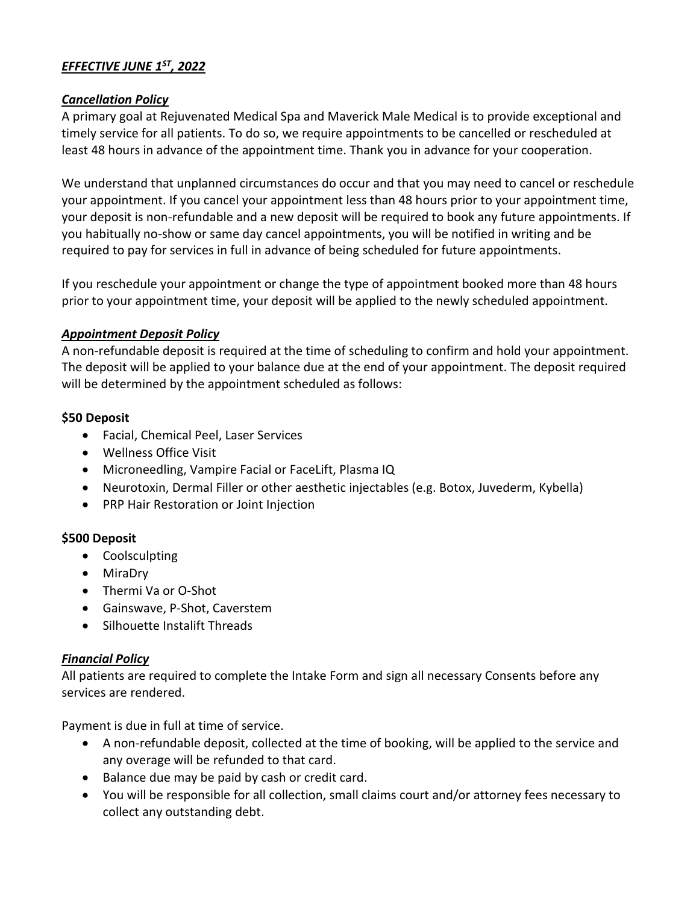# *EFFECTIVE JUNE 1ST, 2022*

#### *Cancellation Policy*

A primary goal at Rejuvenated Medical Spa and Maverick Male Medical is to provide exceptional and timely service for all patients. To do so, we require appointments to be cancelled or rescheduled at least 48 hours in advance of the appointment time. Thank you in advance for your cooperation.

We understand that unplanned circumstances do occur and that you may need to cancel or reschedule your appointment. If you cancel your appointment less than 48 hours prior to your appointment time, your deposit is non-refundable and a new deposit will be required to book any future appointments. If you habitually no-show or same day cancel appointments, you will be notified in writing and be required to pay for services in full in advance of being scheduled for future appointments.

If you reschedule your appointment or change the type of appointment booked more than 48 hours prior to your appointment time, your deposit will be applied to the newly scheduled appointment.

### *Appointment Deposit Policy*

A non-refundable deposit is required at the time of scheduling to confirm and hold your appointment. The deposit will be applied to your balance due at the end of your appointment. The deposit required will be determined by the appointment scheduled as follows:

### **\$50 Deposit**

- Facial, Chemical Peel, Laser Services
- Wellness Office Visit
- Microneedling, Vampire Facial or FaceLift, Plasma IQ
- Neurotoxin, Dermal Filler or other aesthetic injectables (e.g. Botox, Juvederm, Kybella)
- PRP Hair Restoration or Joint Injection

## **\$500 Deposit**

- Coolsculpting
- MiraDry
- Thermi Va or O-Shot
- Gainswave, P-Shot, Caverstem
- Silhouette Instalift Threads

## *Financial Policy*

All patients are required to complete the Intake Form and sign all necessary Consents before any services are rendered.

Payment is due in full at time of service.

- A non-refundable deposit, collected at the time of booking, will be applied to the service and any overage will be refunded to that card.
- Balance due may be paid by cash or credit card.
- You will be responsible for all collection, small claims court and/or attorney fees necessary to collect any outstanding debt.